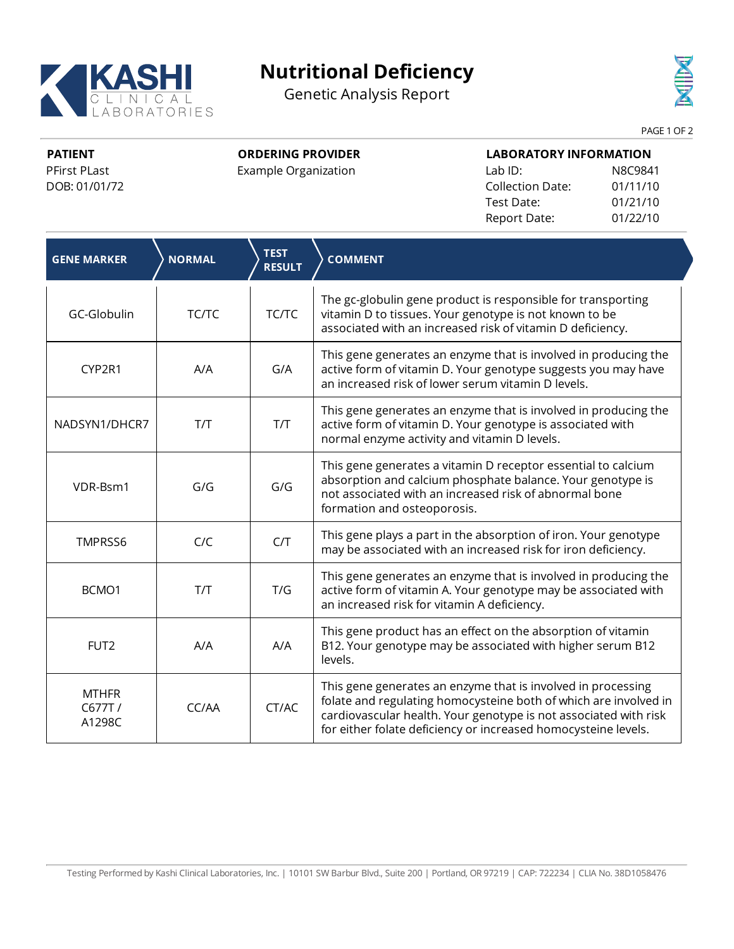

## **Nutritional Deficiency**

Genetic Analysis Report



PAGE 1 OF 2

**PATIENT** PFirst PLast DOB: 01/01/72 **ORDERING PROVIDER**

Example Organization

| <b>LABORATORY INFORMATION</b> |          |  |  |
|-------------------------------|----------|--|--|
| $Lab$ ID:                     | N8C9841  |  |  |
| Collection Date:              | 01/11/10 |  |  |
| Test Date:                    | 01/21/10 |  |  |
| Report Date:                  | 01/22/10 |  |  |

| <b>GENE MARKER</b>               | <b>NORMAL</b> | <b>TEST</b><br><b>RESULT</b> | <b>COMMENT</b>                                                                                                                                                                                                                                                         |
|----------------------------------|---------------|------------------------------|------------------------------------------------------------------------------------------------------------------------------------------------------------------------------------------------------------------------------------------------------------------------|
| GC-Globulin                      | TC/TC         | TC/TC                        | The gc-globulin gene product is responsible for transporting<br>vitamin D to tissues. Your genotype is not known to be<br>associated with an increased risk of vitamin D deficiency.                                                                                   |
| CYP2R1                           | A/A           | G/A                          | This gene generates an enzyme that is involved in producing the<br>active form of vitamin D. Your genotype suggests you may have<br>an increased risk of lower serum vitamin D levels.                                                                                 |
| NADSYN1/DHCR7                    | T/T           | T/T                          | This gene generates an enzyme that is involved in producing the<br>active form of vitamin D. Your genotype is associated with<br>normal enzyme activity and vitamin D levels.                                                                                          |
| VDR-Bsm1                         | G/G           | G/G                          | This gene generates a vitamin D receptor essential to calcium<br>absorption and calcium phosphate balance. Your genotype is<br>not associated with an increased risk of abnormal bone<br>formation and osteoporosis.                                                   |
| TMPRSS6                          | C/C           | C/T                          | This gene plays a part in the absorption of iron. Your genotype<br>may be associated with an increased risk for iron deficiency.                                                                                                                                       |
| BCMO1                            | T/T           | T/G                          | This gene generates an enzyme that is involved in producing the<br>active form of vitamin A. Your genotype may be associated with<br>an increased risk for vitamin A deficiency.                                                                                       |
| FUT <sub>2</sub>                 | A/A           | A/A                          | This gene product has an effect on the absorption of vitamin<br>B12. Your genotype may be associated with higher serum B12<br>levels.                                                                                                                                  |
| <b>MTHFR</b><br>C677T/<br>A1298C | CC/AA         | CT/AC                        | This gene generates an enzyme that is involved in processing<br>folate and regulating homocysteine both of which are involved in<br>cardiovascular health. Your genotype is not associated with risk<br>for either folate deficiency or increased homocysteine levels. |